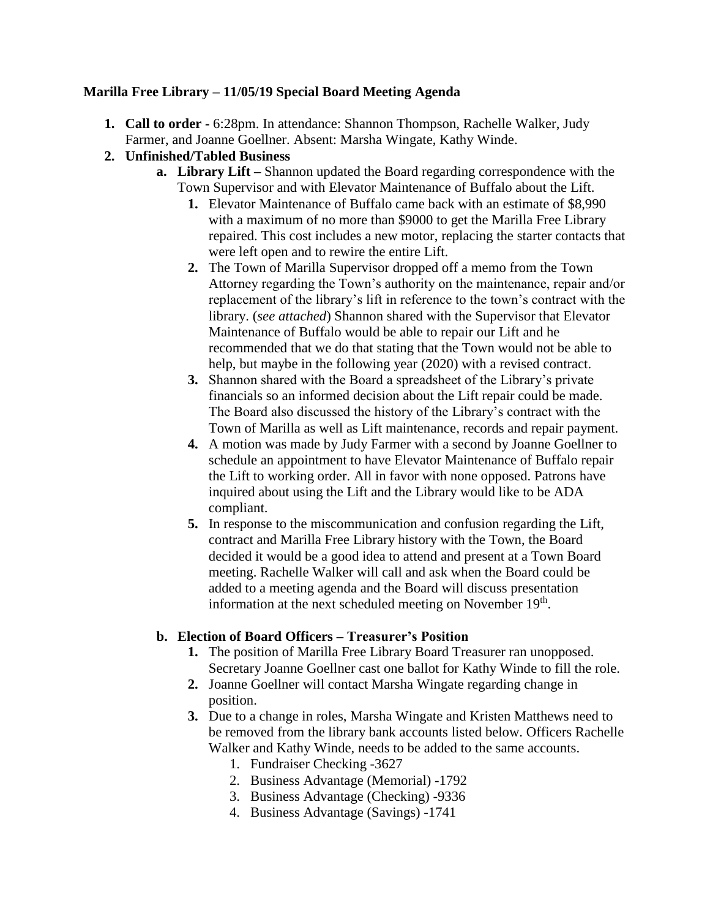## **Marilla Free Library – 11/05/19 Special Board Meeting Agenda**

- **1. Call to order -** 6:28pm. In attendance: Shannon Thompson, Rachelle Walker, Judy Farmer, and Joanne Goellner. Absent: Marsha Wingate, Kathy Winde.
- **2. Unfinished/Tabled Business** 
	- **a. Library Lift –** Shannon updated the Board regarding correspondence with the Town Supervisor and with Elevator Maintenance of Buffalo about the Lift.
		- **1.** Elevator Maintenance of Buffalo came back with an estimate of \$8,990 with a maximum of no more than \$9000 to get the Marilla Free Library repaired. This cost includes a new motor, replacing the starter contacts that were left open and to rewire the entire Lift.
		- **2.** The Town of Marilla Supervisor dropped off a memo from the Town Attorney regarding the Town's authority on the maintenance, repair and/or replacement of the library's lift in reference to the town's contract with the library. (*see attached*) Shannon shared with the Supervisor that Elevator Maintenance of Buffalo would be able to repair our Lift and he recommended that we do that stating that the Town would not be able to help, but maybe in the following year (2020) with a revised contract.
		- **3.** Shannon shared with the Board a spreadsheet of the Library's private financials so an informed decision about the Lift repair could be made. The Board also discussed the history of the Library's contract with the Town of Marilla as well as Lift maintenance, records and repair payment.
		- **4.** A motion was made by Judy Farmer with a second by Joanne Goellner to schedule an appointment to have Elevator Maintenance of Buffalo repair the Lift to working order. All in favor with none opposed. Patrons have inquired about using the Lift and the Library would like to be ADA compliant.
		- **5.** In response to the miscommunication and confusion regarding the Lift, contract and Marilla Free Library history with the Town, the Board decided it would be a good idea to attend and present at a Town Board meeting. Rachelle Walker will call and ask when the Board could be added to a meeting agenda and the Board will discuss presentation information at the next scheduled meeting on November 19<sup>th</sup>.

## **b. Election of Board Officers – Treasurer's Position**

- **1.** The position of Marilla Free Library Board Treasurer ran unopposed. Secretary Joanne Goellner cast one ballot for Kathy Winde to fill the role.
- **2.** Joanne Goellner will contact Marsha Wingate regarding change in position.
- **3.** Due to a change in roles, Marsha Wingate and Kristen Matthews need to be removed from the library bank accounts listed below. Officers Rachelle Walker and Kathy Winde, needs to be added to the same accounts.
	- 1. Fundraiser Checking -3627
	- 2. Business Advantage (Memorial) -1792
	- 3. Business Advantage (Checking) -9336
	- 4. Business Advantage (Savings) -1741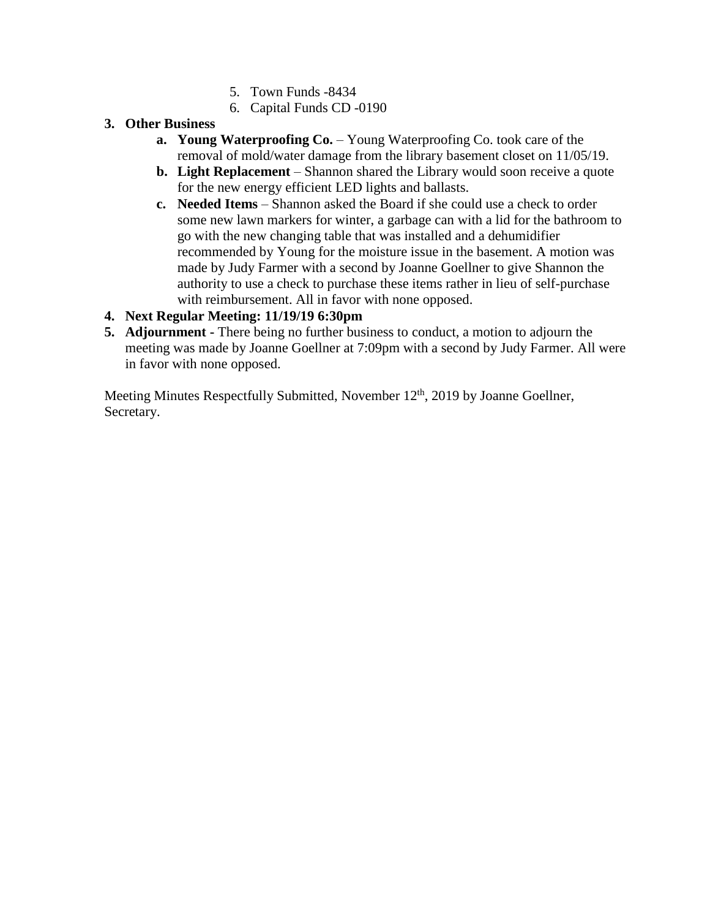- 5. Town Funds -8434
- 6. Capital Funds CD -0190
- **3. Other Business** 
	- **a. Young Waterproofing Co.** Young Waterproofing Co. took care of the removal of mold/water damage from the library basement closet on 11/05/19.
	- **b. Light Replacement**  Shannon shared the Library would soon receive a quote for the new energy efficient LED lights and ballasts.
	- **c. Needed Items**  Shannon asked the Board if she could use a check to order some new lawn markers for winter, a garbage can with a lid for the bathroom to go with the new changing table that was installed and a dehumidifier recommended by Young for the moisture issue in the basement. A motion was made by Judy Farmer with a second by Joanne Goellner to give Shannon the authority to use a check to purchase these items rather in lieu of self-purchase with reimbursement. All in favor with none opposed.

## **4. Next Regular Meeting: 11/19/19 6:30pm**

**5. Adjournment -** There being no further business to conduct, a motion to adjourn the meeting was made by Joanne Goellner at 7:09pm with a second by Judy Farmer. All were in favor with none opposed.

Meeting Minutes Respectfully Submitted, November 12<sup>th</sup>, 2019 by Joanne Goellner, Secretary.